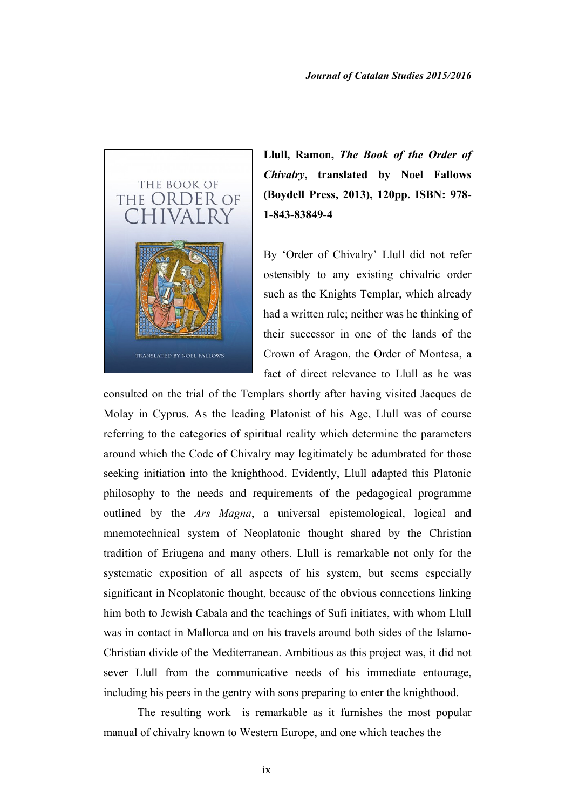

**Llull, Ramon,** *The Book of the Order of Chivalry***, translated by Noel Fallows (Boydell Press, 2013), 120pp. ISBN: 978- 1-843-83849-4**

By 'Order of Chivalry' Llull did not refer ostensibly to any existing chivalric order such as the Knights Templar, which already had a written rule; neither was he thinking of their successor in one of the lands of the Crown of Aragon, the Order of Montesa, a fact of direct relevance to Llull as he was

consulted on the trial of the Templars shortly after having visited Jacques de Molay in Cyprus. As the leading Platonist of his Age, Llull was of course referring to the categories of spiritual reality which determine the parameters around which the Code of Chivalry may legitimately be adumbrated for those seeking initiation into the knighthood. Evidently, Llull adapted this Platonic philosophy to the needs and requirements of the pedagogical programme outlined by the *Ars Magna*, a universal epistemological, logical and mnemotechnical system of Neoplatonic thought shared by the Christian tradition of Eriugena and many others. Llull is remarkable not only for the systematic exposition of all aspects of his system, but seems especially significant in Neoplatonic thought, because of the obvious connections linking him both to Jewish Cabala and the teachings of Sufi initiates, with whom Llull was in contact in Mallorca and on his travels around both sides of the Islamo-Christian divide of the Mediterranean. Ambitious as this project was, it did not sever Llull from the communicative needs of his immediate entourage, including his peers in the gentry with sons preparing to enter the knighthood.

The resulting work is remarkable as it furnishes the most popular manual of chivalry known to Western Europe, and one which teaches the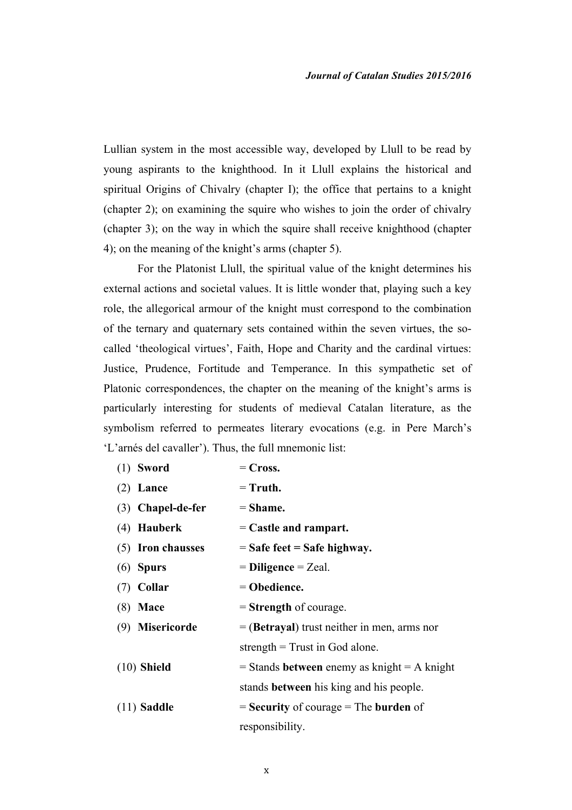Lullian system in the most accessible way, developed by Llull to be read by young aspirants to the knighthood. In it Llull explains the historical and spiritual Origins of Chivalry (chapter I); the office that pertains to a knight (chapter 2); on examining the squire who wishes to join the order of chivalry (chapter 3); on the way in which the squire shall receive knighthood (chapter 4); on the meaning of the knight's arms (chapter 5).

For the Platonist Llull, the spiritual value of the knight determines his external actions and societal values. It is little wonder that, playing such a key role, the allegorical armour of the knight must correspond to the combination of the ternary and quaternary sets contained within the seven virtues, the socalled 'theological virtues', Faith, Hope and Charity and the cardinal virtues: Justice, Prudence, Fortitude and Temperance. In this sympathetic set of Platonic correspondences, the chapter on the meaning of the knight's arms is particularly interesting for students of medieval Catalan literature, as the symbolism referred to permeates literary evocations (e.g. in Pere March's 'L'arnés del cavaller'). Thus, the full mnemonic list:

| $(1)$ Sword         | $=$ Cross.                                      |
|---------------------|-------------------------------------------------|
| $(2)$ Lance         | $=$ Truth.                                      |
| $(3)$ Chapel-de-fer | $=$ Shame.                                      |
| $(4)$ Hauberk       | $=$ Castle and rampart.                         |
| (5) Iron chausses   | $=$ Safe feet $=$ Safe highway.                 |
| $(6)$ Spurs         | $=$ Diligence $=$ Zeal.                         |
| $(7)$ Collar        | $=$ Obedience.                                  |
| $(8)$ Mace          | $=$ Strength of courage.                        |
| (9) Misericorde     |                                                 |
|                     | $=$ (Betrayal) trust neither in men, arms nor   |
|                     | strength $=$ Trust in God alone.                |
| $(10)$ Shield       | $=$ Stands between enemy as knight $=$ A knight |
|                     | stands <b>between</b> his king and his people.  |
| $(11)$ Saddle       | $=$ Security of courage $=$ The burden of       |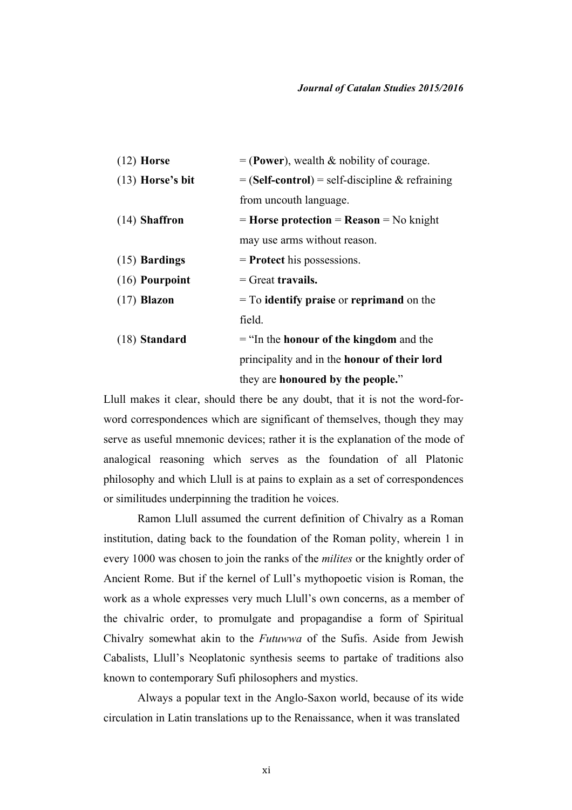| $(12)$ Horse       | $=$ (Power), wealth & nobility of courage.               |
|--------------------|----------------------------------------------------------|
| $(13)$ Horse's bit | $=$ (Self-control) = self-discipline & refraining        |
|                    | from uncouth language.                                   |
| $(14)$ Shaffron    | $=$ Horse protection $=$ Reason $=$ No knight            |
|                    | may use arms without reason.                             |
| $(15)$ Bardings    | $=$ <b>Protect</b> his possessions.                      |
| $(16)$ Pourpoint   | $=$ Great travails.                                      |
| $(17)$ Blazon      | $=$ To <b>identify praise</b> or <b>reprimand</b> on the |
|                    | field.                                                   |
| $(18)$ Standard    | $=$ "In the <b>honour of the kingdom</b> and the         |
|                    | principality and in the <b>honour</b> of their lord      |
|                    | they are honoured by the people."                        |

Llull makes it clear, should there be any doubt, that it is not the word-forword correspondences which are significant of themselves, though they may serve as useful mnemonic devices; rather it is the explanation of the mode of analogical reasoning which serves as the foundation of all Platonic philosophy and which Llull is at pains to explain as a set of correspondences or similitudes underpinning the tradition he voices.

Ramon Llull assumed the current definition of Chivalry as a Roman institution, dating back to the foundation of the Roman polity, wherein 1 in every 1000 was chosen to join the ranks of the *milites* or the knightly order of Ancient Rome. But if the kernel of Lull's mythopoetic vision is Roman, the work as a whole expresses very much Llull's own concerns, as a member of the chivalric order, to promulgate and propagandise a form of Spiritual Chivalry somewhat akin to the *Futuwwa* of the Sufis. Aside from Jewish Cabalists, Llull's Neoplatonic synthesis seems to partake of traditions also known to contemporary Sufi philosophers and mystics.

Always a popular text in the Anglo-Saxon world, because of its wide circulation in Latin translations up to the Renaissance, when it was translated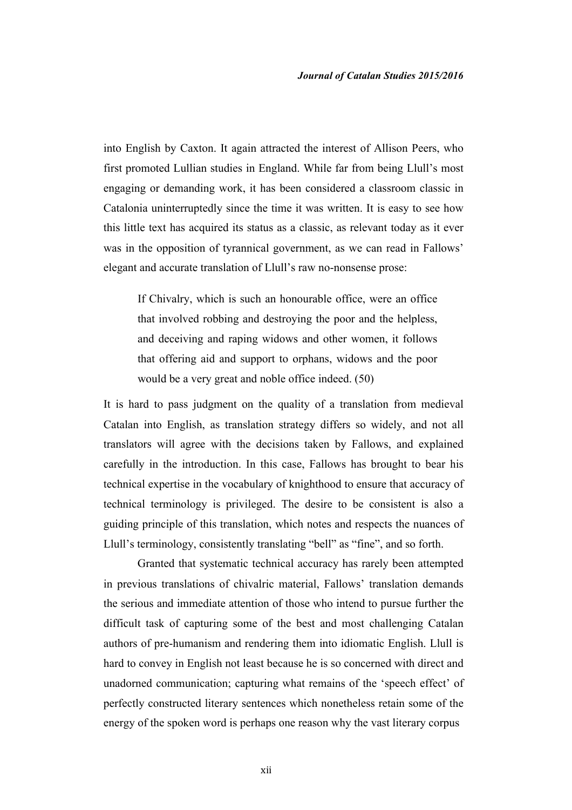into English by Caxton. It again attracted the interest of Allison Peers, who first promoted Lullian studies in England. While far from being Llull's most engaging or demanding work, it has been considered a classroom classic in Catalonia uninterruptedly since the time it was written. It is easy to see how this little text has acquired its status as a classic, as relevant today as it ever was in the opposition of tyrannical government, as we can read in Fallows' elegant and accurate translation of Llull's raw no-nonsense prose:

If Chivalry, which is such an honourable office, were an office that involved robbing and destroying the poor and the helpless, and deceiving and raping widows and other women, it follows that offering aid and support to orphans, widows and the poor would be a very great and noble office indeed. (50)

It is hard to pass judgment on the quality of a translation from medieval Catalan into English, as translation strategy differs so widely, and not all translators will agree with the decisions taken by Fallows, and explained carefully in the introduction. In this case, Fallows has brought to bear his technical expertise in the vocabulary of knighthood to ensure that accuracy of technical terminology is privileged. The desire to be consistent is also a guiding principle of this translation, which notes and respects the nuances of Llull's terminology, consistently translating "bell" as "fine", and so forth.

Granted that systematic technical accuracy has rarely been attempted in previous translations of chivalric material, Fallows' translation demands the serious and immediate attention of those who intend to pursue further the difficult task of capturing some of the best and most challenging Catalan authors of pre-humanism and rendering them into idiomatic English. Llull is hard to convey in English not least because he is so concerned with direct and unadorned communication; capturing what remains of the 'speech effect' of perfectly constructed literary sentences which nonetheless retain some of the energy of the spoken word is perhaps one reason why the vast literary corpus